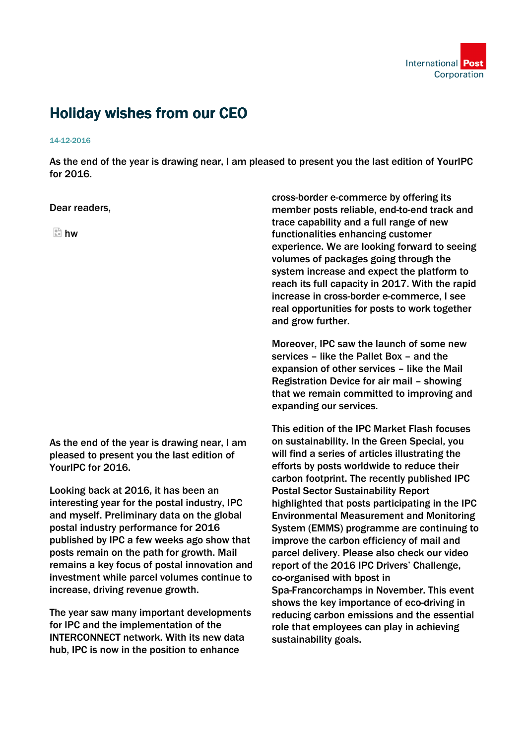

## Holiday wishes from our CEO

## 14-12-2016

As the end of the year is drawing near, I am pleased to present you the last edition of YourIPC for 2016.

## Dear readers,

 $\mathbb{R}$  hw

As the end of the year is drawing near, I am pleased to present you the last edition of YourIPC for 2016.

Looking back at 2016, it has been an interesting year for the postal industry, IPC and myself. Preliminary data on the global postal industry performance for 2016 published by IPC a few weeks ago show that posts remain on the path for growth. Mail remains a key focus of postal innovation and investment while parcel volumes continue to increase, driving revenue growth.

The year saw many important developments for IPC and the implementation of the INTERCONNECT network. With its new data hub, IPC is now in the position to enhance

cross-border e-commerce by offering its member posts reliable, end-to-end track and trace capability and a full range of new functionalities enhancing customer experience. We are looking forward to seeing volumes of packages going through the system increase and expect the platform to reach its full capacity in 2017. With the rapid increase in cross-border e-commerce, I see real opportunities for posts to work together and grow further.

Moreover, IPC saw the launch of some new services – like the Pallet Box – and the expansion of other services – like the Mail Registration Device for air mail – showing that we remain committed to improving and expanding our services.

This edition of the IPC Market Flash focuses on sustainability. In the Green Special, you will find a series of articles illustrating the efforts by posts worldwide to reduce their carbon footprint. The recently published IPC Postal Sector Sustainability Report highlighted that posts participating in the IPC Environmental Measurement and Monitoring System (EMMS) programme are continuing to improve the carbon efficiency of mail and parcel delivery. Please also check our video report of the 2016 IPC Drivers' Challenge, co-organised with bpost in Spa-Francorchamps in November. This event shows the key importance of eco-driving in reducing carbon emissions and the essential role that employees can play in achieving sustainability goals.